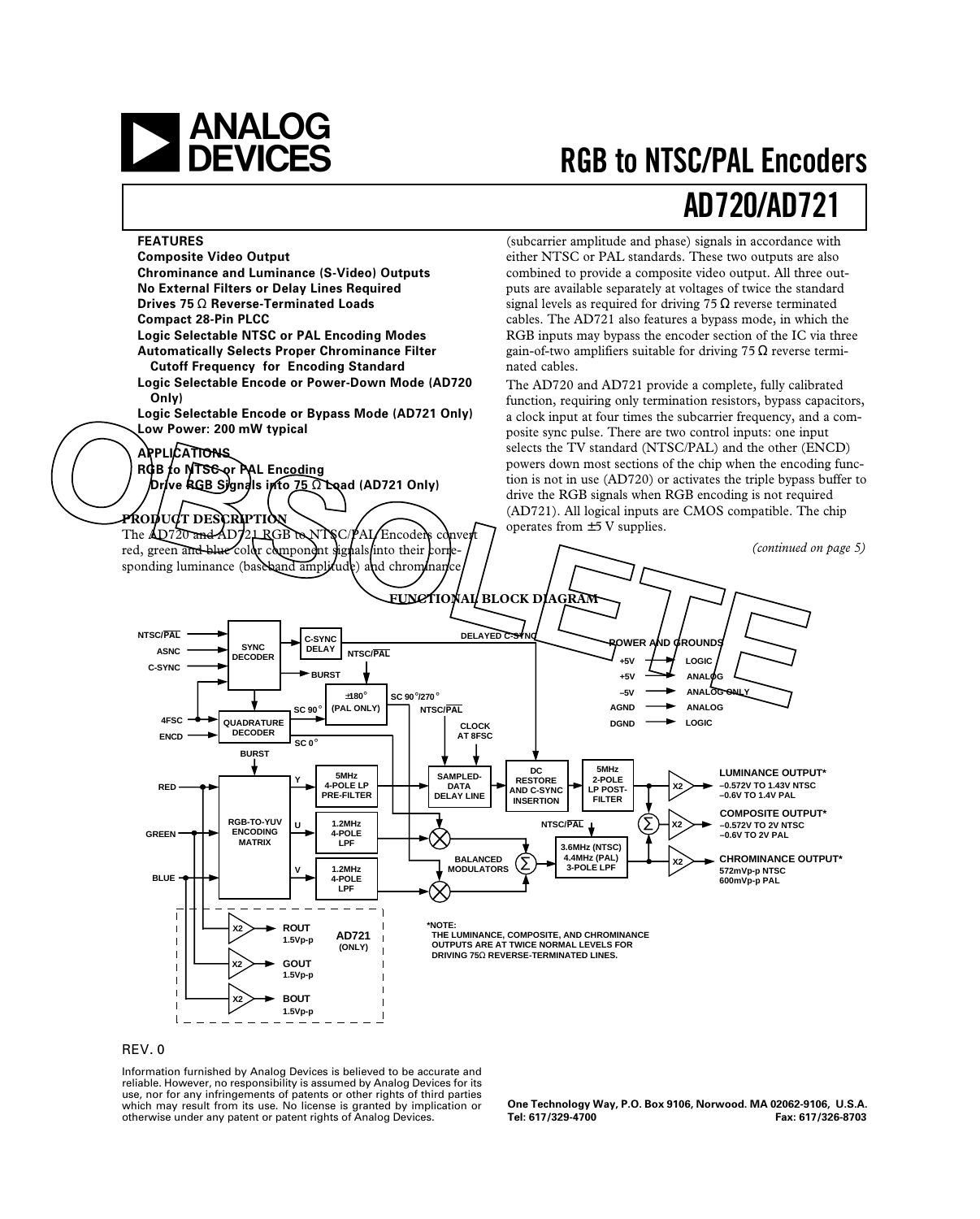

# **RGB to NTSC/PAL Encoders**

## **AD720/AD721**



### REV. 0

Information furnished by Analog Devices is believed to be accurate and reliable. However, no responsibility is assumed by Analog Devices for its use, nor for any infringements of patents or other rights of third parties which may result from its use. No license is granted by implication or otherwise under any patent or patent rights of Analog Devices.

**One Technology Way, P.O. Box 9106, Norwood. MA 02062-9106, U.S.A. Tel: 617/329-4700 Fax: 617/326-8703**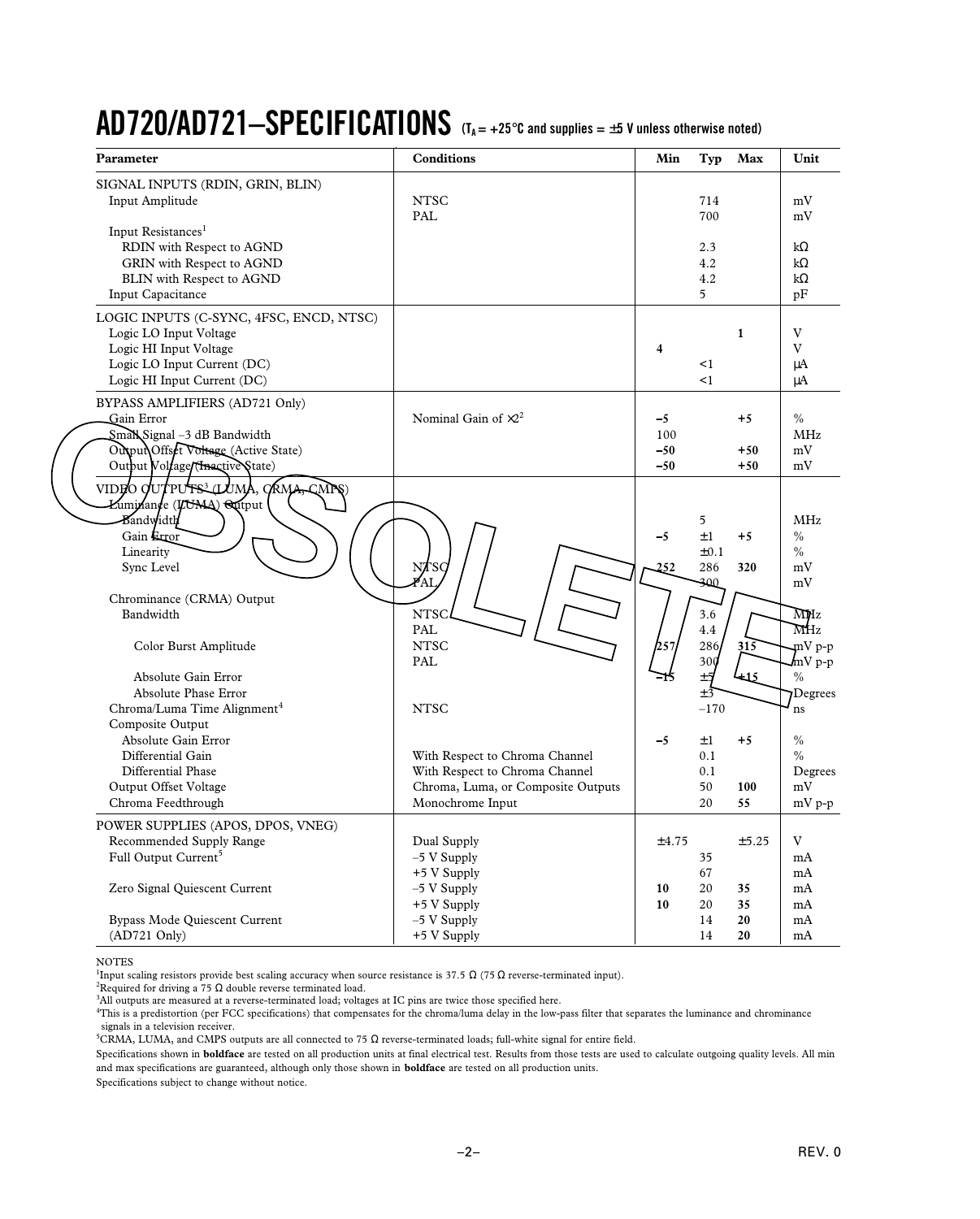# **AD720/AD721–SPECIFICATIONS (TA = +25**°**C and supplies =** ±**5 V unless otherwise noted)**

|  | Parameter                                                                                                                                                     | <b>Conditions</b>                                                                                      | Min                           | Typ                            | Max                    | Unit                                       |
|--|---------------------------------------------------------------------------------------------------------------------------------------------------------------|--------------------------------------------------------------------------------------------------------|-------------------------------|--------------------------------|------------------------|--------------------------------------------|
|  | SIGNAL INPUTS (RDIN, GRIN, BLIN)<br>Input Amplitude                                                                                                           | <b>NTSC</b><br>PAL                                                                                     |                               | 714<br>700                     |                        | mV<br>mV                                   |
|  | Input Resistances <sup>1</sup><br>RDIN with Respect to AGND<br>GRIN with Respect to AGND<br>BLIN with Respect to AGND<br>Input Capacitance                    |                                                                                                        |                               | 2.3<br>4.2<br>4.2<br>5         |                        | $k\Omega$<br>$k\Omega$<br>$k\Omega$<br>pF  |
|  | LOGIC INPUTS (C-SYNC, 4FSC, ENCD, NTSC)<br>Logic LO Input Voltage<br>Logic HI Input Voltage<br>Logic LO Input Current (DC)<br>Logic HI Input Current (DC)     |                                                                                                        | 4                             | $\leq$ 1<br>$\leq$ 1           | $\mathbf{1}$           | V<br>$\mathbf V$<br>μA<br>μA               |
|  | BYPASS AMPLIFIERS (AD721 Only)<br>Gain Error<br>$Small\$ Signal $=$ 3 dB Bandwidth<br>Output Offset Voltage (Active State)<br>Output Voltage/(Inastive State) | Nominal Gain of $\times 2^2$                                                                           | $-5$<br>100<br>$-50$<br>$-50$ |                                | $+5$<br>$+50$<br>$+50$ | $\%$<br><b>MHz</b><br>mV<br>mV             |
|  | VIDEO OUTPUTS <sup>3</sup> (EUMA, GRMA <del>, C</del> MPS)<br>Euminande (I/UMA) Output<br>Bandwidth<br>Gain Error<br>Linearity<br>Sync Level                  | <b>NTSO</b><br>5 д т                                                                                   | $-5$<br>252                   | 5<br>$\pm 1$<br>±0.1<br>286    | $+5$<br>320            | <b>MHz</b><br>$\%$<br>$\%$<br>mV           |
|  | Chrominance (CRMA) Output<br>Bandwidth<br>Color Burst Amplitude                                                                                               | <b>NTSC</b><br>PAL<br><b>NTSC</b>                                                                      | 257                           | 300-<br>3.6<br>4.4<br>286      | 315                    | mV<br>MHz<br>$\overline{M}$ Hz<br>$mV$ p-p |
|  | Absolute Gain Error<br>Absolute Phase Error<br>Chroma/Luma Time Alignment <sup>4</sup>                                                                        | PAL<br><b>NTSC</b>                                                                                     | ר≤                            | 300<br>±5<br>$\pm$ 3<br>$-170$ | 415                    | mV p-p<br>$\%$<br>Degrees<br>ns            |
|  | Composite Output<br>Absolute Gain Error<br>Differential Gain<br>Differential Phase<br>Output Offset Voltage                                                   | With Respect to Chroma Channel<br>With Respect to Chroma Channel<br>Chroma, Luma, or Composite Outputs | $-5$                          | $\pm 1$<br>0.1<br>0.1<br>50    | $+5$<br>100            | $\%$<br>$\%$<br>Degrees<br>mV              |
|  | Chroma Feedthrough                                                                                                                                            | Monochrome Input                                                                                       |                               | 20                             | 55                     | mV p-p                                     |
|  | POWER SUPPLIES (APOS, DPOS, VNEG)<br>Recommended Supply Range<br>Full Output Current <sup>5</sup>                                                             | Dual Supply<br>$-5$ V Supply<br>+5 V Supply                                                            | ±4.75                         | 35<br>67                       | ±5.25                  | V<br>mA<br>mA                              |
|  | Zero Signal Quiescent Current<br><b>Bypass Mode Quiescent Current</b><br>$(AD721$ Only $)$                                                                    | -5 V Supply<br>+5 V Supply<br>-5 V Supply<br>+5 V Supply                                               | 10<br>10                      | 20<br>20<br>14<br>14           | 35<br>35<br>20<br>20   | mA<br>mA<br>mA<br>mA                       |

NOTES

<sup>1</sup>Input scaling resistors provide best scaling accuracy when source resistance is 37.5  $\Omega$  (75  $\Omega$  reverse-terminated input).

<sup>2</sup>Required for driving a 75  $\Omega$  double reverse terminated load.

4 This is a predistortion (per FCC specifications) that compensates for the chroma/luma delay in the low-pass filter that separates the luminance and chrominance signals in a television receiver. 5 CRMA, LUMA, and CMPS outputs are all connected to 75 Ω reverse-terminated loads; full-white signal for entire field.

Specifications shown in **boldface** are tested on all production units at final electrical test. Results from those tests are used to calculate outgoing quality levels. All min and max specifications are guaranteed, although only those shown in **boldface** are tested on all production units.

Specifications subject to change without notice.

<sup>3</sup> All outputs are measured at a reverse-terminated load; voltages at IC pins are twice those specified here.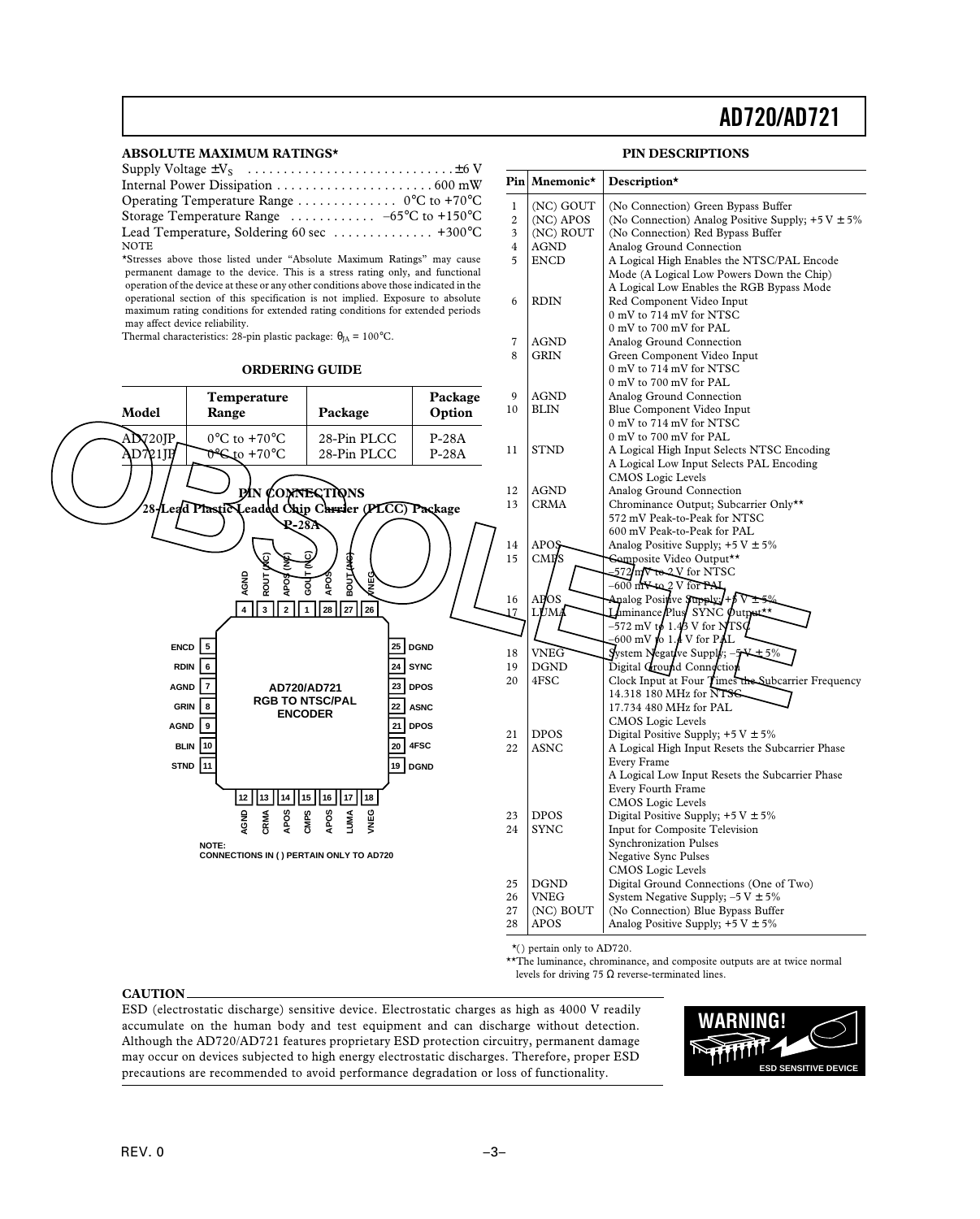**PIN DESCRIPTIONS**

2 (NC) APOS (No Connection) Analog Positive Supply;  $+5 V \pm 5\%$ <br>3 (NC) ROUT (No Connection) Red Bypass Buffer

0 mV to 714 mV for NTSC 0 mV to 700 mV for PAL

A Logical High Enables the NTSC/PAL Encode Mode (A Logical Low Powers Down the Chip) A Logical Low Enables the RGB Bypass Mode

1 (NC) GOUT (No Connection) Green Bypass Buffer<br>2 (NC) APOS (No Connection) Analog Positive Supp

3 (NC) ROUT (No Connection) Red Bypass Buffer 4 AGND Analog Ground Connection<br>5 ENCD A Logical High Enables the 1

6 RDIN Red Component Video Input

7 AGND Analog Ground Connection<br>8 GRIN Green Component Video In 8 GRIN Green Component Video Input

**Pin Mnemonic\* Description\***

#### **ABSOLUTE MAXIMUM RATINGS\***

| Operating Temperature Range $0^{\circ}$ C to +70 <sup>o</sup> C      |  |
|----------------------------------------------------------------------|--|
| Storage Temperature Range $\ldots \ldots \ldots -65$ °C to +150°C    |  |
| Lead Temperature, Soldering 60 sec $\dots \dots \dots \dots$ +300 °C |  |
| NOTE                                                                 |  |

\*Stresses above those listed under "Absolute Maximum Ratings" may cause permanent damage to the device. This is a stress rating only, and functional operation of the device at these or any other conditions above those indicated in the operational section of this specification is not implied. Exposure to absolute maximum rating conditions for extended rating conditions for extended periods may affect device reliability.

Thermal characteristics: 28-pin plastic package:  $\theta_{IA} = 100^{\circ}$ C.

#### **ORDERING GUIDE**



\*( ) pertain only to AD720.

\*\*The luminance, chrominance, and composite outputs are at twice normal levels for driving 75  $Ω$  reverse-terminated lines.

### **CAUTION**

ESD (electrostatic discharge) sensitive device. Electrostatic charges as high as 4000 V readily accumulate on the human body and test equipment and can discharge without detection. Although the AD720/AD721 features proprietary ESD protection circuitry, permanent damage may occur on devices subjected to high energy electrostatic discharges. Therefore, proper ESD precautions are recommended to avoid performance degradation or loss of functionality.

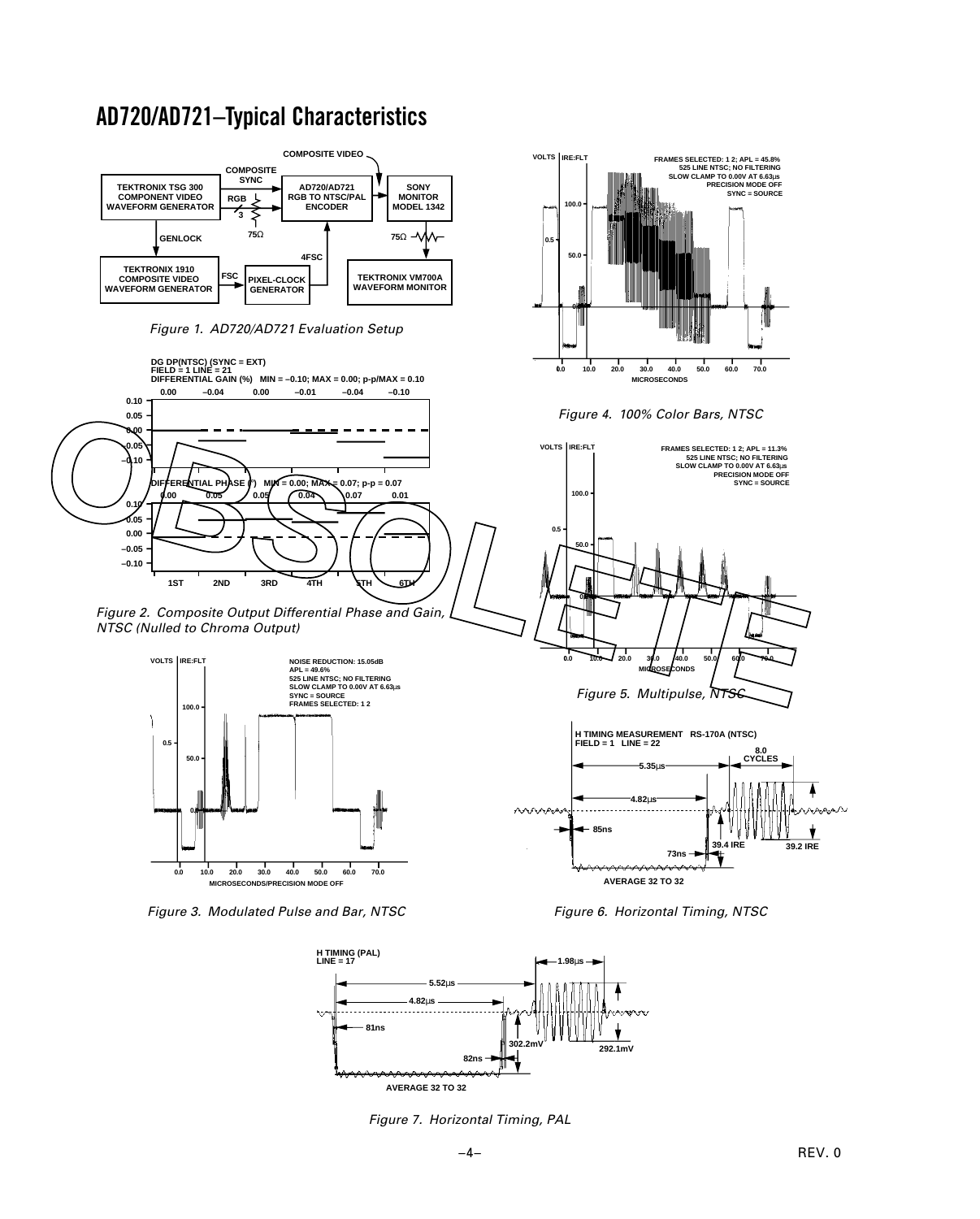## **AD720/AD721–Typical Characteristics**



Figure 3. Modulated Pulse and Bar, NTSC





Figure 7. Horizontal Timing, PAL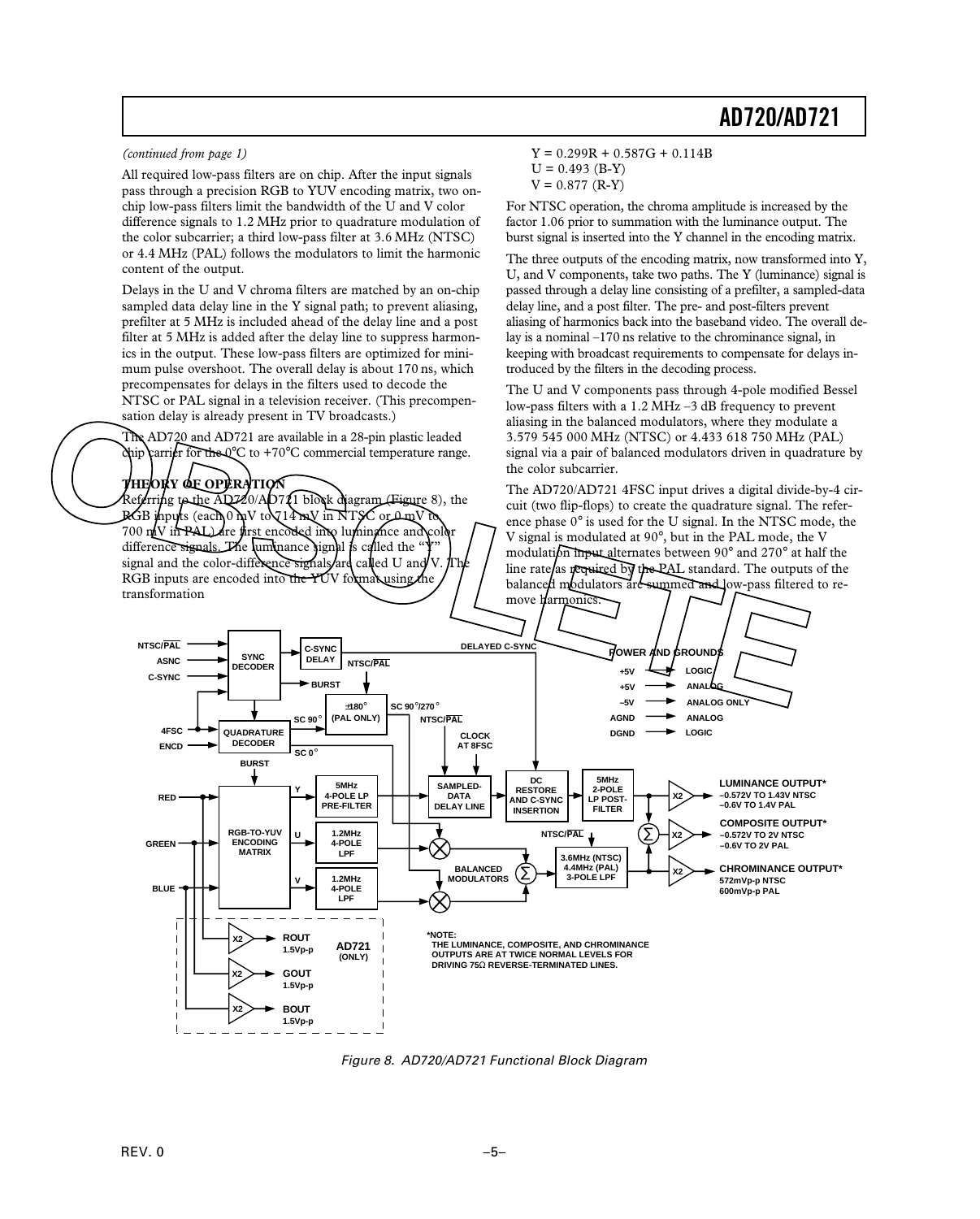### *(continued from page 1)*

All required low-pass filters are on chip. After the input signals pass through a precision RGB to YUV encoding matrix, two onchip low-pass filters limit the bandwidth of the U and V color difference signals to 1.2 MHz prior to quadrature modulation of the color subcarrier; a third low-pass filter at 3.6 MHz (NTSC) or 4.4 MHz (PAL) follows the modulators to limit the harmonic content of the output.

Delays in the U and V chroma filters are matched by an on-chip sampled data delay line in the Y signal path; to prevent aliasing, prefilter at 5 MHz is included ahead of the delay line and a post filter at 5 MHz is added after the delay line to suppress harmonics in the output. These low-pass filters are optimized for minimum pulse overshoot. The overall delay is about 170 ns, which precompensates for delays in the filters used to decode the NTSC or PAL signal in a television receiver. (This precompensation delay is already present in TV broadcasts.)

The AD720 and AD721 are available in a 28-pin plastic leaded thip carrier for the  $C$  to +70°C commercial temperature range.

### **THEORY OF OPERATION**

Referring to the AD720/AD721 block diagram (Figure 8), the  $RGB$  inputs (each  $0$  mV to  $\sqrt{14}$  mV in NTSC or 0 mV to 700 mV in PAL) are first encoded into luminance and color difference signals. The luminance  $j$ ignal is called the "Y" signal and the color-difference signals and  $\bar{V}$ signal and the color-difference signals/are called U and V.  $\int$ Th RGB inputs are encoded into the  $YUV$  formal using the transformation

 $Y = 0.299R + 0.587G + 0.114B$  $U = 0.493$  (B-Y)  $V = 0.877$  (R-Y)

For NTSC operation, the chroma amplitude is increased by the factor 1.06 prior to summation with the luminance output. The burst signal is inserted into the Y channel in the encoding matrix.

The three outputs of the encoding matrix, now transformed into Y, U, and V components, take two paths. The Y (luminance) signal is passed through a delay line consisting of a prefilter, a sampled-data delay line, and a post filter. The pre- and post-filters prevent aliasing of harmonics back into the baseband video. The overall delay is a nominal –170 ns relative to the chrominance signal, in keeping with broadcast requirements to compensate for delays introduced by the filters in the decoding process.

The U and V components pass through 4-pole modified Bessel low-pass filters with a 1.2 MHz –3 dB frequency to prevent aliasing in the balanced modulators, where they modulate a 3.579 545 000 MHz (NTSC) or 4.433 618 750 MHz (PAL) signal via a pair of balanced modulators driven in quadrature by the color subcarrier.

The AD720/AD721 4FSC input drives a digital divide-by-4 circuit (two flip-flops) to create the quadrature signal. The reference phase 0° is used for the U signal. In the NTSC mode, the V signal is modulated at 90°, but in the PAL mode, the V modulation input alternates between  $90^{\circ}$  and  $270^{\circ}$  at half the line rate as required by the PAL standard. The outputs of the balanced modulators are summed and low-pass filtered to re-



Figure 8. AD720/AD721 Functional Block Diagram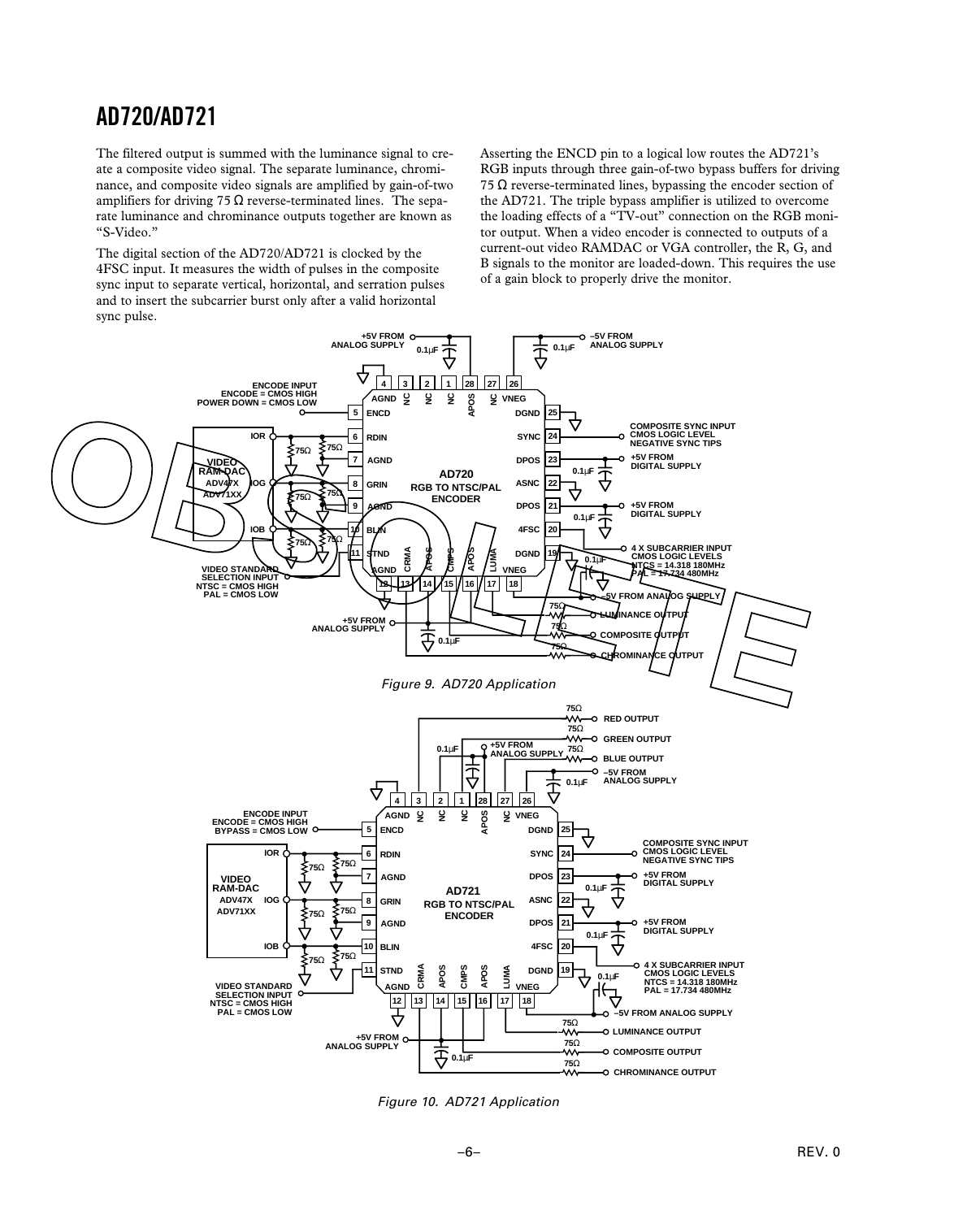The filtered output is summed with the luminance signal to create a composite video signal. The separate luminance, chrominance, and composite video signals are amplified by gain-of-two amplifiers for driving 75  $\Omega$  reverse-terminated lines. The separate luminance and chrominance outputs together are known as "S-Video."

The digital section of the AD720/AD721 is clocked by the 4FSC input. It measures the width of pulses in the composite sync input to separate vertical, horizontal, and serration pulses and to insert the subcarrier burst only after a valid horizontal sync pulse.

Asserting the ENCD pin to a logical low routes the AD721's RGB inputs through three gain-of-two bypass buffers for driving 75  $\Omega$  reverse-terminated lines, bypassing the encoder section of the AD721. The triple bypass amplifier is utilized to overcome the loading effects of a "TV-out" connection on the RGB monitor output. When a video encoder is connected to outputs of a current-out video RAMDAC or VGA controller, the R, G, and B signals to the monitor are loaded-down. This requires the use of a gain block to properly drive the monitor.



Figure 10. AD721 Application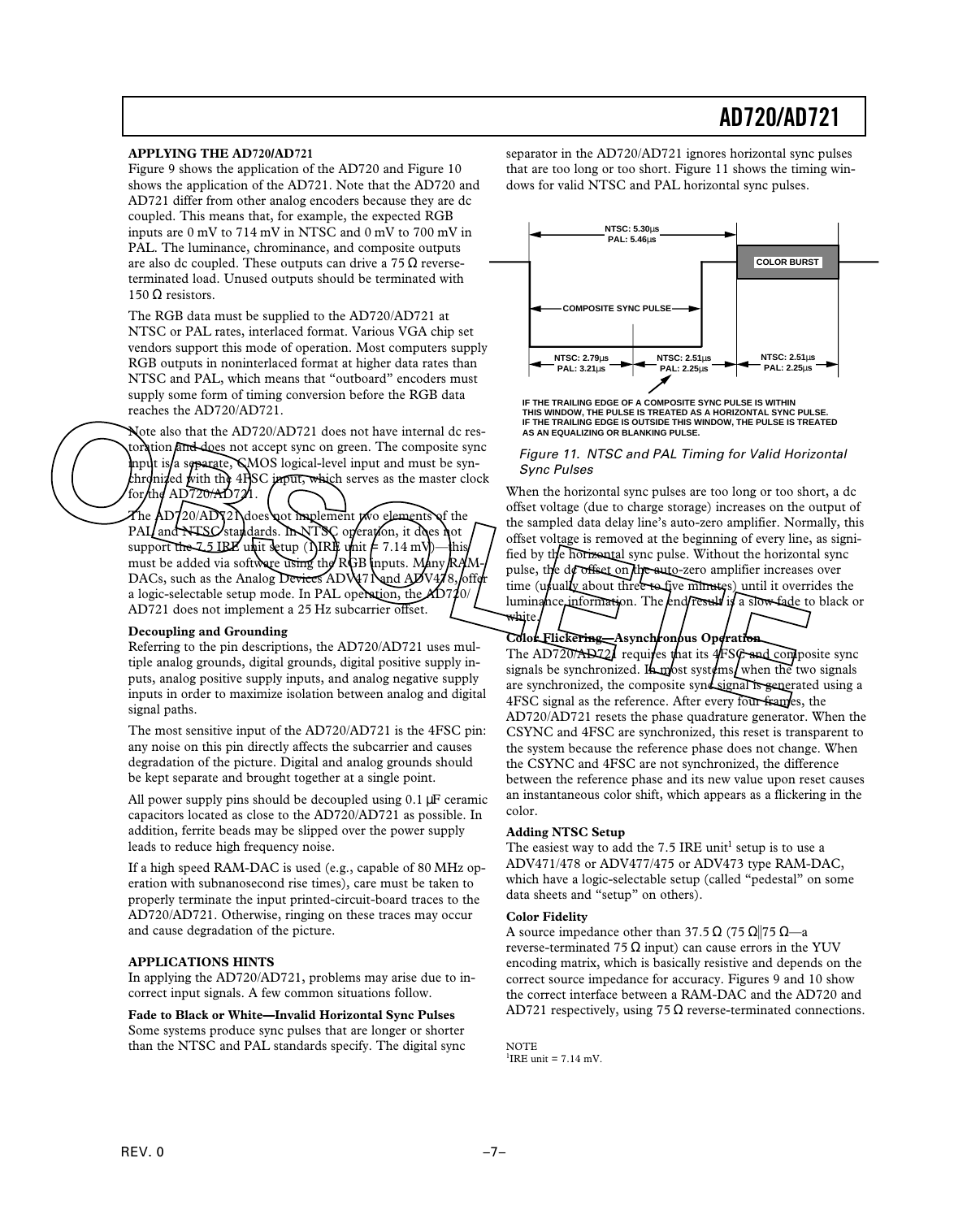### **APPLYING THE AD720/AD721**

Figure 9 shows the application of the AD720 and Figure 10 shows the application of the AD721. Note that the AD720 and AD721 differ from other analog encoders because they are dc coupled. This means that, for example, the expected RGB inputs are 0 mV to 714 mV in NTSC and 0 mV to 700 mV in PAL. The luminance, chrominance, and composite outputs are also dc coupled. These outputs can drive a  $75 \Omega$  reverseterminated load. Unused outputs should be terminated with 150  $\Omega$  resistors.

The RGB data must be supplied to the AD720/AD721 at NTSC or PAL rates, interlaced format. Various VGA chip set vendors support this mode of operation. Most computers supply RGB outputs in noninterlaced format at higher data rates than NTSC and PAL, which means that "outboard" encoders must supply some form of timing conversion before the RGB data reaches the AD720/AD721.

Note also that the AD720/AD721 does not have internal dc restoration and does not accept sync on green. The composite sync nput is a separate, CMOS logical-level input and must be synchronized with the  $4FSC$  input, which serves as the master clock for/the AD7207AD721.

The  $AD720/AD721$  does not implement two elements of the PAL and NFSC standards. INNTSC operation, it does not  $P_{\text{and}}$  NFSC standards. In NTSC operation, it does not support the  $7.5$  IRE unit setup (1)IRE unit  $\neq 7.14$  mV)-this must be added via software using the RGB inputs. Many RAM-DACs, such as the Analog Devices ADV471 and  $\Delta$ DV478, offer a logic-selectable setup mode. In PAL operation, the AD720/ AD721 does not implement a 25 Hz subcarrier offset. The public intervention of the public intervention of the state and the state intervention of the AD720/AD721 does not have internal dc res-<br>
The magnetic state and the AD720/AD721 does not have the magnetic source of the

### **Decoupling and Grounding**

Referring to the pin descriptions, the AD720/AD721 uses multiple analog grounds, digital grounds, digital positive supply inputs, analog positive supply inputs, and analog negative supply inputs in order to maximize isolation between analog and digital signal paths.

The most sensitive input of the AD720/AD721 is the 4FSC pin: any noise on this pin directly affects the subcarrier and causes degradation of the picture. Digital and analog grounds should be kept separate and brought together at a single point.

All power supply pins should be decoupled using 0.1 µF ceramic capacitors located as close to the AD720/AD721 as possible. In addition, ferrite beads may be slipped over the power supply leads to reduce high frequency noise.

If a high speed RAM-DAC is used (e.g., capable of 80 MHz operation with subnanosecond rise times), care must be taken to properly terminate the input printed-circuit-board traces to the AD720/AD721. Otherwise, ringing on these traces may occur and cause degradation of the picture.

### **APPLICATIONS HINTS**

In applying the AD720/AD721, problems may arise due to incorrect input signals. A few common situations follow.

**Fade to Black or White—Invalid Horizontal Sync Pulses** Some systems produce sync pulses that are longer or shorter than the NTSC and PAL standards specify. The digital sync separator in the AD720/AD721 ignores horizontal sync pulses that are too long or too short. Figure 11 shows the timing windows for valid NTSC and PAL horizontal sync pulses.



#### **IF THE TRAILING EDGE OF A COMPOSITE SYNC PULSE IS WITHIN THIS WINDOW, THE PULSE IS TREATED AS A HORIZONTAL SYNC PULSE. IF THE TRAILING EDGE IS OUTSIDE THIS WINDOW, THE PULSE IS TREATED AS AN EQUALIZING OR BLANKING PULSE.**

### Figure 11. NTSC and PAL Timing for Valid Horizontal Sync Pulses

When the horizontal sync pulses are too long or too short, a dc offset voltage (due to charge storage) increases on the output of the sampled data delay line's auto-zero amplifier. Normally, this offset voltage is removed at the beginning of every line, as signified by the horizontal sync pulse. Without the horizontal sync pulse, the  $d\sigma$  offset on the auto-zero amplifier increases over time (usually about three to five minutes) until it overrides the luminance information. The end result is a slow fade to black or white.

### Color Flickering Asynchronous Operation

The AD7207AD721 requires that its  $4FST$  and composite sync signals be synchronized. In most systems (when the two signals are synchronized, the composite syndsignal is generated using a 4FSC signal as the reference. After every four frames, the AD720/AD721 resets the phase quadrature generator. When the CSYNC and 4FSC are synchronized, this reset is transparent to the system because the reference phase does not change. When the CSYNC and 4FSC are not synchronized, the difference between the reference phase and its new value upon reset causes an instantaneous color shift, which appears as a flickering in the color.

#### **Adding NTSC Setup**

The easiest way to add the  $7.5$  IRE unit<sup>1</sup> setup is to use a ADV471/478 or ADV477/475 or ADV473 type RAM-DAC, which have a logic-selectable setup (called "pedestal" on some data sheets and "setup" on others).

### **Color Fidelity**

A source impedance other than 37.5  $\Omega$  (75  $\Omega$ ||75  $\Omega$ —a reverse-terminated 75  $\Omega$  input) can cause errors in the YUV encoding matrix, which is basically resistive and depends on the correct source impedance for accuracy. Figures 9 and 10 show the correct interface between a RAM-DAC and the AD720 and AD721 respectively, using 75  $\Omega$  reverse-terminated connections.

**NOTE** <sup>1</sup>IRE unit =  $7.14$  mV.